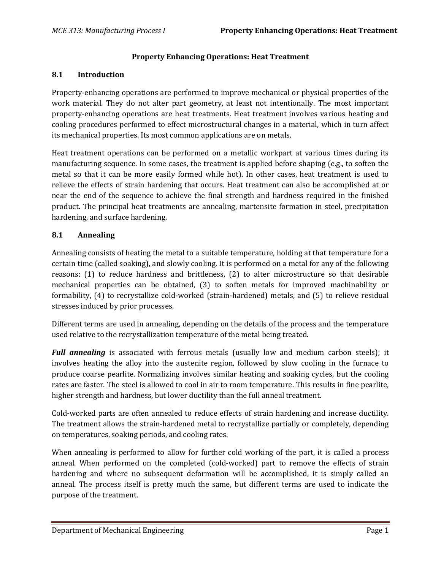### **Property Enhancing Operations: Heat Treatment**

#### **8.1 Introduction**

Property-enhancing operations are performed to improve mechanical or physical properties of the work material. They do not alter part geometry, at least not intentionally. The most important property-enhancing operations are heat treatments. Heat treatment involves various heating and cooling procedures performed to effect microstructural changes in a material, which in turn affect its mechanical properties. Its most common applications are on metals.

Heat treatment operations can be performed on a metallic workpart at various times during its manufacturing sequence. In some cases, the treatment is applied before shaping (e.g., to soften the metal so that it can be more easily formed while hot). In other cases, heat treatment is used to relieve the effects of strain hardening that occurs. Heat treatment can also be accomplished at or near the end of the sequence to achieve the final strength and hardness required in the finished product. The principal heat treatments are annealing, martensite formation in steel, precipitation hardening, and surface hardening.

### **8.1 Annealing**

Annealing consists of heating the metal to a suitable temperature, holding at that temperature for a certain time (called soaking), and slowly cooling. It is performed on a metal for any of the following reasons: (1) to reduce hardness and brittleness, (2) to alter microstructure so that desirable mechanical properties can be obtained, (3) to soften metals for improved machinability or formability, (4) to recrystallize cold-worked (strain-hardened) metals, and (5) to relieve residual stresses induced by prior processes.

Different terms are used in annealing, depending on the details of the process and the temperature used relative to the recrystallization temperature of the metal being treated.

*Full annealing* is associated with ferrous metals (usually low and medium carbon steels); it involves heating the alloy into the austenite region, followed by slow cooling in the furnace to produce coarse pearlite. Normalizing involves similar heating and soaking cycles, but the cooling rates are faster. The steel is allowed to cool in air to room temperature. This results in fine pearlite, higher strength and hardness, but lower ductility than the full anneal treatment.

Cold-worked parts are often annealed to reduce effects of strain hardening and increase ductility. The treatment allows the strain-hardened metal to recrystallize partially or completely, depending on temperatures, soaking periods, and cooling rates.

When annealing is performed to allow for further cold working of the part, it is called a process anneal. When performed on the completed (cold-worked) part to remove the effects of strain hardening and where no subsequent deformation will be accomplished, it is simply called an anneal. The process itself is pretty much the same, but different terms are used to indicate the purpose of the treatment.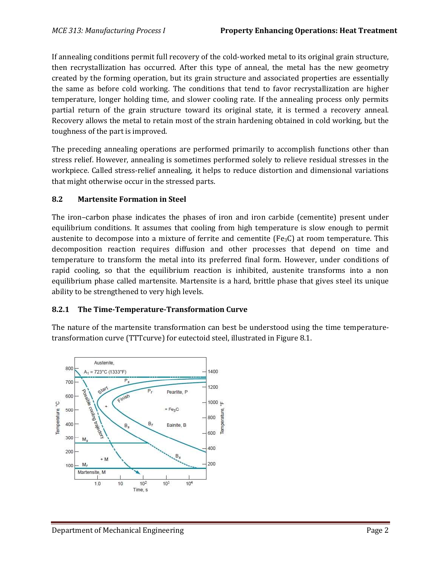If annealing conditions permit full recovery of the cold-worked metal to its original grain structure, then recrystallization has occurred. After this type of anneal, the metal has the new geometry created by the forming operation, but its grain structure and associated properties are essentially the same as before cold working. The conditions that tend to favor recrystallization are higher temperature, longer holding time, and slower cooling rate. If the annealing process only permits partial return of the grain structure toward its original state, it is termed a recovery anneal. Recovery allows the metal to retain most of the strain hardening obtained in cold working, but the toughness of the part is improved.

The preceding annealing operations are performed primarily to accomplish functions other than stress relief. However, annealing is sometimes performed solely to relieve residual stresses in the workpiece. Called stress-relief annealing, it helps to reduce distortion and dimensional variations that might otherwise occur in the stressed parts.

## **8.2 Martensite Formation in Steel**

The iron–carbon phase indicates the phases of iron and iron carbide (cementite) present under equilibrium conditions. It assumes that cooling from high temperature is slow enough to permit austenite to decompose into a mixture of ferrite and cementite ( $Fe<sub>3</sub>C$ ) at room temperature. This decomposition reaction requires diffusion and other processes that depend on time and temperature to transform the metal into its preferred final form. However, under conditions of rapid cooling, so that the equilibrium reaction is inhibited, austenite transforms into a non equilibrium phase called martensite. Martensite is a hard, brittle phase that gives steel its unique ability to be strengthened to very high levels.

### **8.2.1 The Time-Temperature-Transformation Curve**

The nature of the martensite transformation can best be understood using the time temperaturetransformation curve (TTTcurve) for eutectoid steel, illustrated in Figure 8.1.

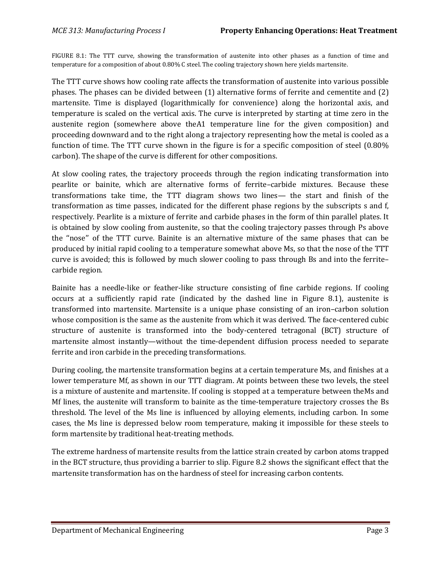FIGURE 8.1: The TTT curve, showing the transformation of austenite into other phases as a function of time and temperature for a composition of about 0.80% C steel. The cooling trajectory shown here yields martensite.

The TTT curve shows how cooling rate affects the transformation of austenite into various possible phases. The phases can be divided between (1) alternative forms of ferrite and cementite and (2) martensite. Time is displayed (logarithmically for convenience) along the horizontal axis, and temperature is scaled on the vertical axis. The curve is interpreted by starting at time zero in the austenite region (somewhere above theA1 temperature line for the given composition) and proceeding downward and to the right along a trajectory representing how the metal is cooled as a function of time. The TTT curve shown in the figure is for a specific composition of steel (0.80% carbon). The shape of the curve is different for other compositions.

At slow cooling rates, the trajectory proceeds through the region indicating transformation into pearlite or bainite, which are alternative forms of ferrite–carbide mixtures. Because these transformations take time, the TTT diagram shows two lines— the start and finish of the transformation as time passes, indicated for the different phase regions by the subscripts s and f, respectively. Pearlite is a mixture of ferrite and carbide phases in the form of thin parallel plates. It is obtained by slow cooling from austenite, so that the cooling trajectory passes through Ps above the ''nose'' of the TTT curve. Bainite is an alternative mixture of the same phases that can be produced by initial rapid cooling to a temperature somewhat above Ms, so that the nose of the TTT curve is avoided; this is followed by much slower cooling to pass through Bs and into the ferrite– carbide region.

Bainite has a needle-like or feather-like structure consisting of fine carbide regions. If cooling occurs at a sufficiently rapid rate (indicated by the dashed line in Figure 8.1), austenite is transformed into martensite. Martensite is a unique phase consisting of an iron–carbon solution whose composition is the same as the austenite from which it was derived. The face-centered cubic structure of austenite is transformed into the body-centered tetragonal (BCT) structure of martensite almost instantly—without the time-dependent diffusion process needed to separate ferrite and iron carbide in the preceding transformations.

During cooling, the martensite transformation begins at a certain temperature Ms, and finishes at a lower temperature Mf, as shown in our TTT diagram. At points between these two levels, the steel is a mixture of austenite and martensite. If cooling is stopped at a temperature between theMs and Mf lines, the austenite will transform to bainite as the time-temperature trajectory crosses the Bs threshold. The level of the Ms line is influenced by alloying elements, including carbon. In some cases, the Ms line is depressed below room temperature, making it impossible for these steels to form martensite by traditional heat-treating methods.

The extreme hardness of martensite results from the lattice strain created by carbon atoms trapped in the BCT structure, thus providing a barrier to slip. Figure 8.2 shows the significant effect that the martensite transformation has on the hardness of steel for increasing carbon contents.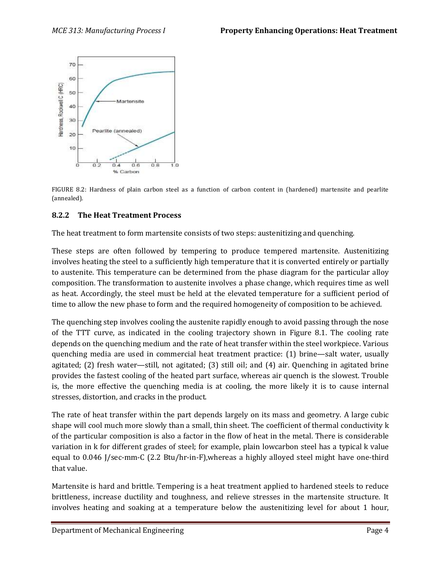

FIGURE 8.2: Hardness of plain carbon steel as a function of carbon content in (hardened) martensite and pearlite (annealed).

## **8.2.2 The Heat Treatment Process**

The heat treatment to form martensite consists of two steps: austenitizing and quenching.

These steps are often followed by tempering to produce tempered martensite. Austenitizing involves heating the steel to a sufficiently high temperature that it is converted entirely or partially to austenite. This temperature can be determined from the phase diagram for the particular alloy composition. The transformation to austenite involves a phase change, which requires time as well as heat. Accordingly, the steel must be held at the elevated temperature for a sufficient period of time to allow the new phase to form and the required homogeneity of composition to be achieved.

The quenching step involves cooling the austenite rapidly enough to avoid passing through the nose of the TTT curve, as indicated in the cooling trajectory shown in Figure 8.1. The cooling rate depends on the quenching medium and the rate of heat transfer within the steel workpiece. Various quenching media are used in commercial heat treatment practice: (1) brine—salt water, usually agitated; (2) fresh water—still, not agitated; (3) still oil; and (4) air. Quenching in agitated brine provides the fastest cooling of the heated part surface, whereas air quench is the slowest. Trouble is, the more effective the quenching media is at cooling, the more likely it is to cause internal stresses, distortion, and cracks in the product.

The rate of heat transfer within the part depends largely on its mass and geometry. A large cubic shape will cool much more slowly than a small, thin sheet. The coefficient of thermal conductivity k of the particular composition is also a factor in the flow of heat in the metal. There is considerable variation in k for different grades of steel; for example, plain lowcarbon steel has a typical k value equal to 0.046 J/sec-mm-C (2.2 Btu/hr-in-F),whereas a highly alloyed steel might have one-third that value.

Martensite is hard and brittle. Tempering is a heat treatment applied to hardened steels to reduce brittleness, increase ductility and toughness, and relieve stresses in the martensite structure. It involves heating and soaking at a temperature below the austenitizing level for about 1 hour,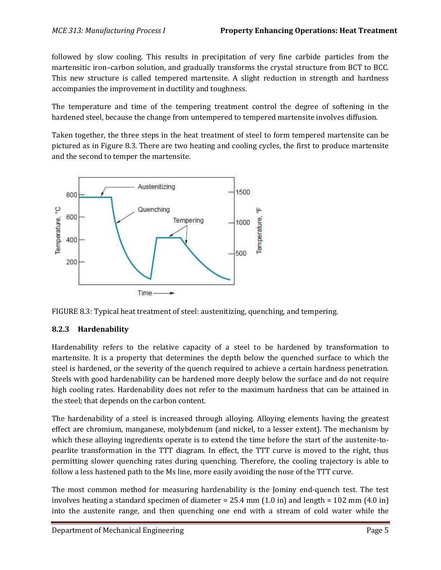followed by slow cooling. This results in precipitation of very fine carbide particles from the martensitic iron–carbon solution, and gradually transforms the crystal structure from BCT to BCC. This new structure is called tempered martensite. A slight reduction in strength and hardness accompanies the improvement in ductility and toughness.

The temperature and time of the tempering treatment control the degree of softening in the hardened steel, because the change from untempered to tempered martensite involves diffusion.

Taken together, the three steps in the heat treatment of steel to form tempered martensite can be pictured as in Figure 8.3. There are two heating and cooling cycles, the first to produce martensite and the second to temper the martensite.





# **8.2.3 Hardenability**

Hardenability refers to the relative capacity of a steel to be hardened by transformation to martensite. It is a property that determines the depth below the quenched surface to which the steel is hardened, or the severity of the quench required to achieve a certain hardness penetration. Steels with good hardenability can be hardened more deeply below the surface and do not require high cooling rates. Hardenability does not refer to the maximum hardness that can be attained in the steel; that depends on the carbon content.

The hardenability of a steel is increased through alloying. Alloying elements having the greatest effect are chromium, manganese, molybdenum (and nickel, to a lesser extent). The mechanism by which these alloying ingredients operate is to extend the time before the start of the austenite-topearlite transformation in the TTT diagram. In effect, the TTT curve is moved to the right, thus permitting slower quenching rates during quenching. Therefore, the cooling trajectory is able to follow a less hastened path to the Ms line, more easily avoiding the nose of the TTT curve.

The most common method for measuring hardenability is the Jominy end-quench test. The test involves heating a standard specimen of diameter = 25.4 mm (1.0 in) and length = 102 mm (4.0 in) into the austenite range, and then quenching one end with a stream of cold water while the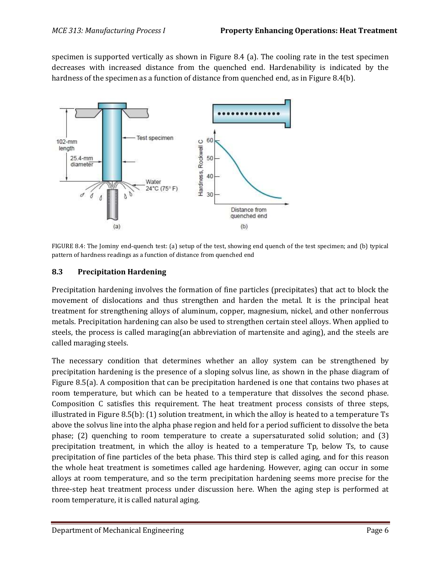specimen is supported vertically as shown in Figure 8.4 (a). The cooling rate in the test specimen decreases with increased distance from the quenched end. Hardenability is indicated by the hardness of the specimen as a function of distance from quenched end, as in Figure 8.4(b).



FIGURE 8.4: The Jominy end-quench test: (a) setup of the test, showing end quench of the test specimen; and (b) typical pattern of hardness readings as a function of distance from quenched end

### **8.3 Precipitation Hardening**

Precipitation hardening involves the formation of fine particles (precipitates) that act to block the movement of dislocations and thus strengthen and harden the metal. It is the principal heat treatment for strengthening alloys of aluminum, copper, magnesium, nickel, and other nonferrous metals. Precipitation hardening can also be used to strengthen certain steel alloys. When applied to steels, the process is called maraging(an abbreviation of martensite and aging), and the steels are called maraging steels.

The necessary condition that determines whether an alloy system can be strengthened by precipitation hardening is the presence of a sloping solvus line, as shown in the phase diagram of Figure 8.5(a). A composition that can be precipitation hardened is one that contains two phases at room temperature, but which can be heated to a temperature that dissolves the second phase. Composition C satisfies this requirement. The heat treatment process consists of three steps, illustrated in Figure 8.5(b): (1) solution treatment, in which the alloy is heated to a temperature Ts above the solvus line into the alpha phase region and held for a period sufficient to dissolve the beta phase; (2) quenching to room temperature to create a supersaturated solid solution; and (3) precipitation treatment, in which the alloy is heated to a temperature Tp, below Ts, to cause precipitation of fine particles of the beta phase. This third step is called aging, and for this reason the whole heat treatment is sometimes called age hardening. However, aging can occur in some alloys at room temperature, and so the term precipitation hardening seems more precise for the three-step heat treatment process under discussion here. When the aging step is performed at room temperature, it is called natural aging.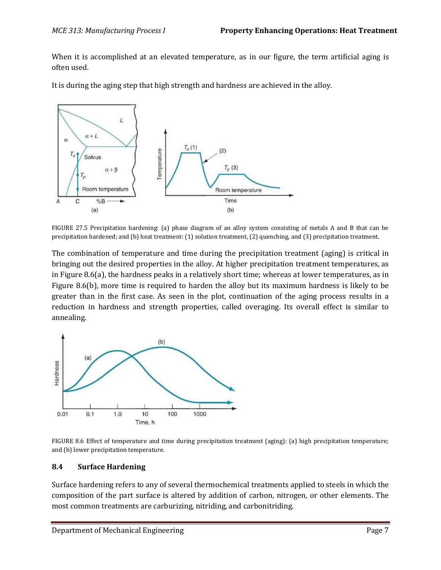When it is accomplished at an elevated temperature, as in our figure, the term artificial aging is often used.

It is during the aging step that high strength and hardness are achieved in the alloy.



FIGURE 27.5 Precipitation hardening: (a) phase diagram of an alloy system consisting of metals A and B that can be precipitation hardened; and (b) heat treatment: (1) solution treatment, (2) quenching, and (3) precipitation treatment.

The combination of temperature and time during the precipitation treatment (aging) is critical in bringing out the desired properties in the alloy. At higher precipitation treatment temperatures, as in Figure 8.6(a), the hardness peaks in a relatively short time; whereas at lower temperatures, as in Figure 8.6(b), more time is required to harden the alloy but its maximum hardness is likely to be greater than in the first case. As seen in the plot, continuation of the aging process results in a reduction in hardness and strength properties, called overaging. Its overall effect is similar to annealing.



FIGURE 8.6 Effect of temperature and time during precipitation treatment (aging): (a) high precipitation temperature; and (b) lower precipitation temperature.

# **8.4 Surface Hardening**

Surface hardening refers to any of several thermochemical treatments applied to steels in which the composition of the part surface is altered by addition of carbon, nitrogen, or other elements. The most common treatments are carburizing, nitriding, and carbonitriding.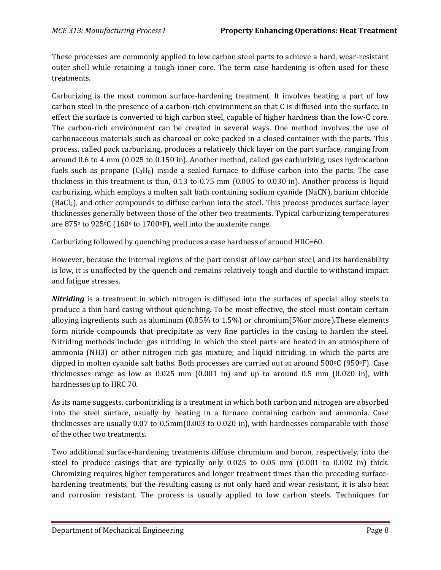These processes are commonly applied to low carbon steel parts to achieve a hard, wear-resistant outer shell while retaining a tough inner core. The term case hardening is often used for these treatments.

Carburizing is the most common surface-hardening treatment. It involves heating a part of low carbon steel in the presence of a carbon-rich environment so that C is diffused into the surface. In effect the surface is converted to high carbon steel, capable of higher hardness than the low-C core. The carbon-rich environment can be created in several ways. One method involves the use of carbonaceous materials such as charcoal or coke packed in a closed container with the parts. This process, called pack carburizing, produces a relatively thick layer on the part surface, ranging from around 0.6 to 4 mm (0.025 to 0.150 in). Another method, called gas carburizing, uses hydrocarbon fuels such as propane  $(C_3H_8)$  inside a sealed furnace to diffuse carbon into the parts. The case thickness in this treatment is thin, 0.13 to 0.75 mm (0.005 to 0.030 in). Another process is liquid carburizing, which employs a molten salt bath containing sodium cyanide (NaCN), barium chloride (BaCl2), and other compounds to diffuse carbon into the steel. This process produces surface layer thicknesses generally between those of the other two treatments. Typical carburizing temperatures are 875 $\circ$  to 925 $\circ$ C (160 $\circ$  to 1700 $\circ$ F), well into the austenite range.

Carburizing followed by quenching produces a case hardness of around HRC=60.

However, because the internal regions of the part consist of low carbon steel, and its hardenability is low, it is unaffected by the quench and remains relatively tough and ductile to withstand impact and fatigue stresses.

*Nitriding* is a treatment in which nitrogen is diffused into the surfaces of special alloy steels to produce a thin hard casing without quenching. To be most effective, the steel must contain certain alloying ingredients such as aluminum (0.85% to 1.5%) or chromium(5%or more).These elements form nitride compounds that precipitate as very fine particles in the casing to harden the steel. Nitriding methods include: gas nitriding, in which the steel parts are heated in an atmosphere of ammonia (NH3) or other nitrogen rich gas mixture; and liquid nitriding, in which the parts are dipped in molten cyanide salt baths. Both processes are carried out at around  $500\degree C$  (950 $\degree F$ ). Case thicknesses range as low as  $0.025$  mm  $(0.001$  in) and up to around  $0.5$  mm  $(0.020$  in), with hardnesses up to HRC 70.

As its name suggests, carbonitriding is a treatment in which both carbon and nitrogen are absorbed into the steel surface, usually by heating in a furnace containing carbon and ammonia. Case thicknesses are usually 0.07 to 0.5mm(0.003 to 0.020 in), with hardnesses comparable with those of the other two treatments.

Two additional surface-hardening treatments diffuse chromium and boron, respectively, into the steel to produce casings that are typically only 0.025 to 0.05 mm (0.001 to 0.002 in) thick. Chromizing requires higher temperatures and longer treatment times than the preceding surfacehardening treatments, but the resulting casing is not only hard and wear resistant, it is also heat and corrosion resistant. The process is usually applied to low carbon steels. Techniques for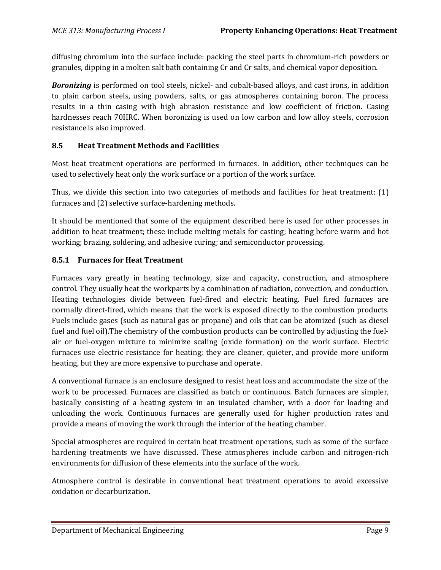diffusing chromium into the surface include: packing the steel parts in chromium-rich powders or granules, dipping in a molten salt bath containing Cr and Cr salts, and chemical vapor deposition.

*Boronizing* is performed on tool steels, nickel- and cobalt-based alloys, and cast irons, in addition to plain carbon steels, using powders, salts, or gas atmospheres containing boron. The process results in a thin casing with high abrasion resistance and low coefficient of friction. Casing hardnesses reach 70HRC. When boronizing is used on low carbon and low alloy steels, corrosion resistance is also improved.

#### **8.5 Heat Treatment Methods and Facilities**

Most heat treatment operations are performed in furnaces. In addition, other techniques can be used to selectively heat only the work surface or a portion of the work surface.

Thus, we divide this section into two categories of methods and facilities for heat treatment: (1) furnaces and (2) selective surface-hardening methods.

It should be mentioned that some of the equipment described here is used for other processes in addition to heat treatment; these include melting metals for casting; heating before warm and hot working; brazing, soldering, and adhesive curing; and semiconductor processing.

#### **8.5.1 Furnaces for Heat Treatment**

Furnaces vary greatly in heating technology, size and capacity, construction, and atmosphere control. They usually heat the workparts by a combination of radiation, convection, and conduction. Heating technologies divide between fuel-fired and electric heating. Fuel fired furnaces are normally direct-fired, which means that the work is exposed directly to the combustion products. Fuels include gases (such as natural gas or propane) and oils that can be atomized (such as diesel fuel and fuel oil).The chemistry of the combustion products can be controlled by adjusting the fuelair or fuel-oxygen mixture to minimize scaling (oxide formation) on the work surface. Electric furnaces use electric resistance for heating; they are cleaner, quieter, and provide more uniform heating, but they are more expensive to purchase and operate.

A conventional furnace is an enclosure designed to resist heat loss and accommodate the size of the work to be processed. Furnaces are classified as batch or continuous. Batch furnaces are simpler, basically consisting of a heating system in an insulated chamber, with a door for loading and unloading the work. Continuous furnaces are generally used for higher production rates and provide a means of moving the work through the interior of the heating chamber.

Special atmospheres are required in certain heat treatment operations, such as some of the surface hardening treatments we have discussed. These atmospheres include carbon and nitrogen-rich environments for diffusion of these elements into the surface of the work.

Atmosphere control is desirable in conventional heat treatment operations to avoid excessive oxidation or decarburization.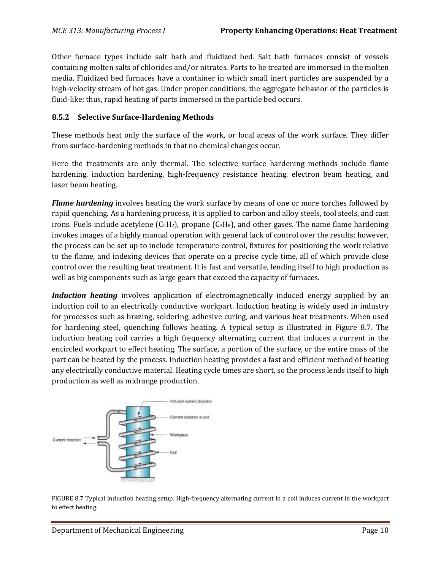Other furnace types include salt bath and fluidized bed. Salt bath furnaces consist of vessels containing molten salts of chlorides and/or nitrates. Parts to be treated are immersed in the molten media. Fluidized bed furnaces have a container in which small inert particles are suspended by a high-velocity stream of hot gas. Under proper conditions, the aggregate behavior of the particles is fluid-like; thus, rapid heating of parts immersed in the particle bed occurs.

### **8.5.2 Selective Surface-Hardening Methods**

These methods heat only the surface of the work, or local areas of the work surface. They differ from surface-hardening methods in that no chemical changes occur.

Here the treatments are only thermal. The selective surface hardening methods include flame hardening, induction hardening, high-frequency resistance heating, electron beam heating, and laser beam heating.

*Flame hardening* involves heating the work surface by means of one or more torches followed by rapid quenching. As a hardening process, it is applied to carbon and alloy steels, tool steels, and cast irons. Fuels include acetylene  $(C_2H_2)$ , propane  $(C_3H_8)$ , and other gases. The name flame hardening invokes images of a highly manual operation with general lack of control over the results; however, the process can be set up to include temperature control, fixtures for positioning the work relative to the flame, and indexing devices that operate on a precise cycle time, all of which provide close control over the resulting heat treatment. It is fast and versatile, lending itself to high production as well as big components such as large gears that exceed the capacity of furnaces.

*Induction heating* involves application of electromagnetically induced energy supplied by an induction coil to an electrically conductive workpart. Induction heating is widely used in industry for processes such as brazing, soldering, adhesive curing, and various heat treatments. When used for hardening steel, quenching follows heating. A typical setup is illustrated in Figure 8.7. The induction heating coil carries a high frequency alternating current that induces a current in the encircled workpart to effect heating. The surface, a portion of the surface, or the entire mass of the part can be heated by the process. Induction heating provides a fast and efficient method of heating any electrically conductive material. Heating cycle times are short, so the process lends itself to high production as well as midrange production.



FIGURE 8.7 Typical induction heating setup. High-frequency alternating current in a coil induces current in the workpart to effect heating.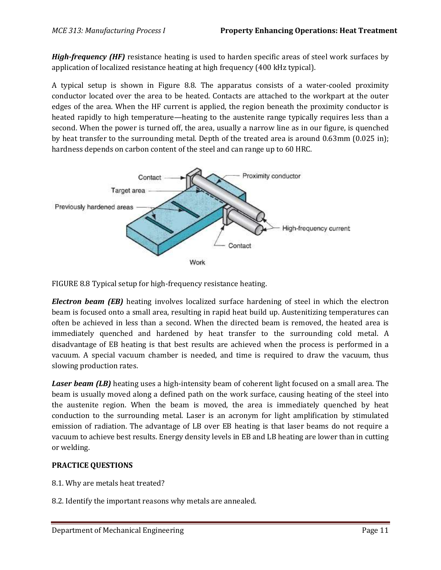*High-frequency (HF)* resistance heating is used to harden specific areas of steel work surfaces by application of localized resistance heating at high frequency (400 kHz typical).

A typical setup is shown in Figure 8.8. The apparatus consists of a water-cooled proximity conductor located over the area to be heated. Contacts are attached to the workpart at the outer edges of the area. When the HF current is applied, the region beneath the proximity conductor is heated rapidly to high temperature—heating to the austenite range typically requires less than a second. When the power is turned off, the area, usually a narrow line as in our figure, is quenched by heat transfer to the surrounding metal. Depth of the treated area is around 0.63mm (0.025 in); hardness depends on carbon content of the steel and can range up to 60 HRC.



FIGURE 8.8 Typical setup for high-frequency resistance heating.

*Electron beam (EB)* heating involves localized surface hardening of steel in which the electron beam is focused onto a small area, resulting in rapid heat build up. Austenitizing temperatures can often be achieved in less than a second. When the directed beam is removed, the heated area is immediately quenched and hardened by heat transfer to the surrounding cold metal. A disadvantage of EB heating is that best results are achieved when the process is performed in a vacuum. A special vacuum chamber is needed, and time is required to draw the vacuum, thus slowing production rates.

**Laser beam (LB)** heating uses a high-intensity beam of coherent light focused on a small area. The beam is usually moved along a defined path on the work surface, causing heating of the steel into the austenite region. When the beam is moved, the area is immediately quenched by heat conduction to the surrounding metal. Laser is an acronym for light amplification by stimulated emission of radiation. The advantage of LB over EB heating is that laser beams do not require a vacuum to achieve best results. Energy density levels in EB and LB heating are lower than in cutting or welding.

### **PRACTICE QUESTIONS**

8.1. Why are metals heat treated?

8.2. Identify the important reasons why metals are annealed.